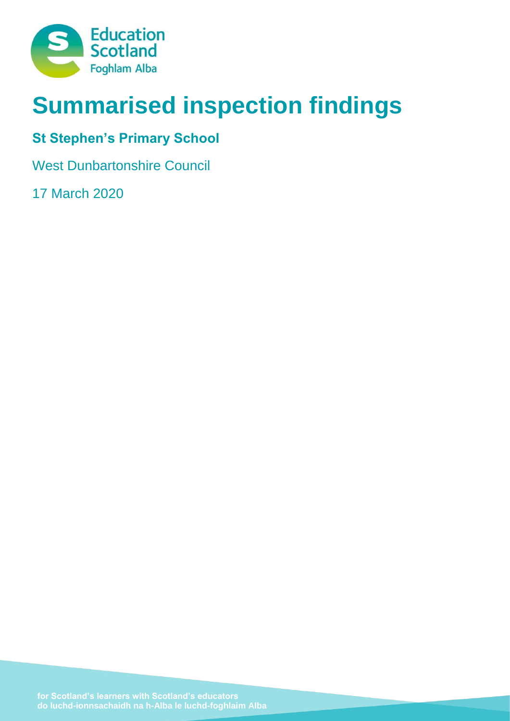

# **Summarised inspection findings**

# **St Stephen's Primary School**

West Dunbartonshire Council

17 March 2020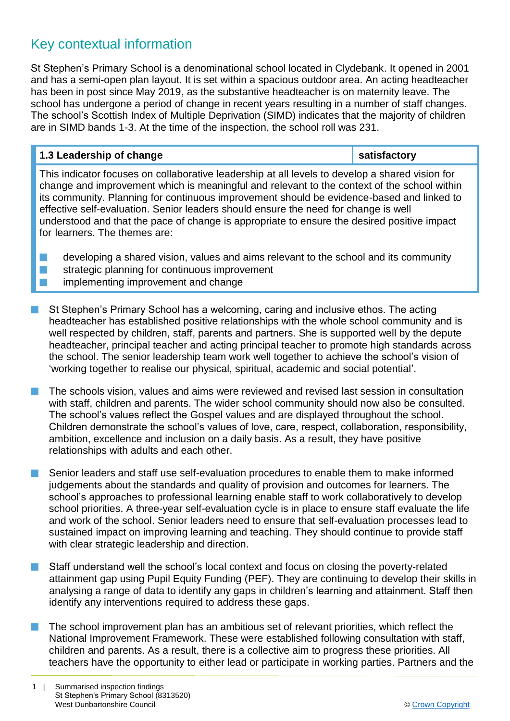# Key contextual information

St Stephen's Primary School is a denominational school located in Clydebank. It opened in 2001 and has a semi-open plan layout. It is set within a spacious outdoor area. An acting headteacher has been in post since May 2019, as the substantive headteacher is on maternity leave. The school has undergone a period of change in recent years resulting in a number of staff changes. The school's Scottish Index of Multiple Deprivation (SIMD) indicates that the majority of children are in SIMD bands 1-3. At the time of the inspection, the school roll was 231.

## **1.3 Leadership of change satisfactory**

This indicator focuses on collaborative leadership at all levels to develop a shared vision for change and improvement which is meaningful and relevant to the context of the school within its community. Planning for continuous improvement should be evidence-based and linked to effective self-evaluation. Senior leaders should ensure the need for change is well understood and that the pace of change is appropriate to ensure the desired positive impact for learners. The themes are:

 $\blacksquare$  developing a shared vision, values and aims relevant to the school and its community  $\blacksquare$  strategic planning for continuous improvement **n** implementing improvement and change

- St Stephen's Primary School has a welcoming, caring and inclusive ethos. The acting headteacher has established positive relationships with the whole school community and is well respected by children, staff, parents and partners. She is supported well by the depute headteacher, principal teacher and acting principal teacher to promote high standards across the school. The senior leadership team work well together to achieve the school's vision of 'working together to realise our physical, spiritual, academic and social potential'.
- n The schools vision, values and aims were reviewed and revised last session in consultation with staff, children and parents. The wider school community should now also be consulted. The school's values reflect the Gospel values and are displayed throughout the school. Children demonstrate the school's values of love, care, respect, collaboration, responsibility, ambition, excellence and inclusion on a daily basis. As a result, they have positive relationships with adults and each other.
- Senior leaders and staff use self-evaluation procedures to enable them to make informed judgements about the standards and quality of provision and outcomes for learners. The school's approaches to professional learning enable staff to work collaboratively to develop school priorities. A three-year self-evaluation cycle is in place to ensure staff evaluate the life and work of the school. Senior leaders need to ensure that self-evaluation processes lead to sustained impact on improving learning and teaching. They should continue to provide staff with clear strategic leadership and direction.
- Staff understand well the school's local context and focus on closing the poverty-related attainment gap using Pupil Equity Funding (PEF). They are continuing to develop their skills in analysing a range of data to identify any gaps in children's learning and attainment. Staff then identify any interventions required to address these gaps.
- n The school improvement plan has an ambitious set of relevant priorities, which reflect the National Improvement Framework. These were established following consultation with staff, children and parents. As a result, there is a collective aim to progress these priorities. All teachers have the opportunity to either lead or participate in working parties. Partners and the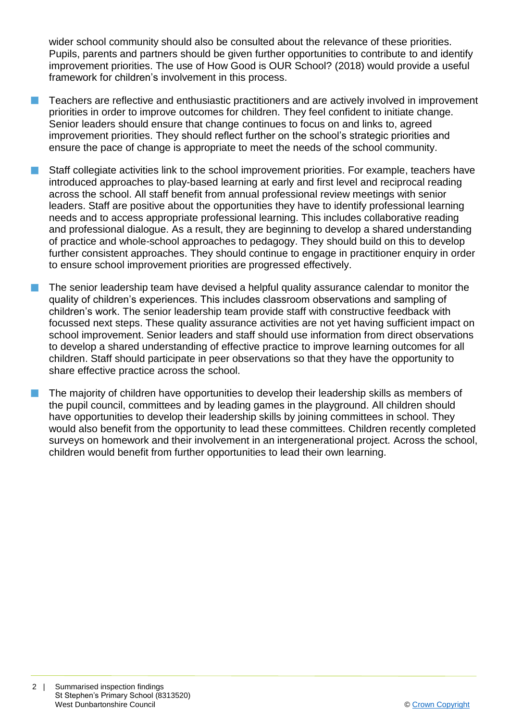wider school community should also be consulted about the relevance of these priorities. Pupils, parents and partners should be given further opportunities to contribute to and identify improvement priorities. The use of How Good is OUR School? (2018) would provide a useful framework for children's involvement in this process.

- n Teachers are reflective and enthusiastic practitioners and are actively involved in improvement priorities in order to improve outcomes for children. They feel confident to initiate change. Senior leaders should ensure that change continues to focus on and links to, agreed improvement priorities. They should reflect further on the school's strategic priorities and ensure the pace of change is appropriate to meet the needs of the school community.
- Staff collegiate activities link to the school improvement priorities. For example, teachers have introduced approaches to play-based learning at early and first level and reciprocal reading across the school. All staff benefit from annual professional review meetings with senior leaders. Staff are positive about the opportunities they have to identify professional learning needs and to access appropriate professional learning. This includes collaborative reading and professional dialogue. As a result, they are beginning to develop a shared understanding of practice and whole-school approaches to pedagogy. They should build on this to develop further consistent approaches. They should continue to engage in practitioner enquiry in order to ensure school improvement priorities are progressed effectively.
- The senior leadership team have devised a helpful quality assurance calendar to monitor the quality of children's experiences. This includes classroom observations and sampling of children's work. The senior leadership team provide staff with constructive feedback with focussed next steps. These quality assurance activities are not yet having sufficient impact on school improvement. Senior leaders and staff should use information from direct observations to develop a shared understanding of effective practice to improve learning outcomes for all children. Staff should participate in peer observations so that they have the opportunity to share effective practice across the school.
- The majority of children have opportunities to develop their leadership skills as members of the pupil council, committees and by leading games in the playground. All children should have opportunities to develop their leadership skills by joining committees in school. They would also benefit from the opportunity to lead these committees. Children recently completed surveys on homework and their involvement in an intergenerational project. Across the school, children would benefit from further opportunities to lead their own learning.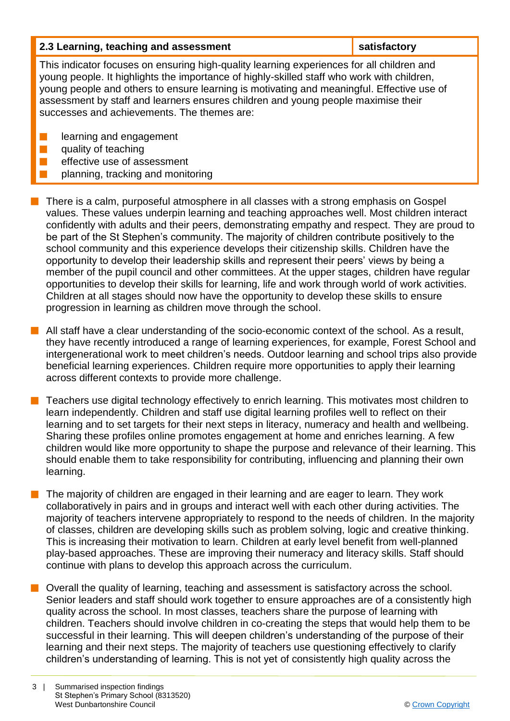| 2.3 Learning, teaching and assessment                                                      | satisfactory |  |
|--------------------------------------------------------------------------------------------|--------------|--|
| This indicator focuses on ensuring high-quality learning experiences for all children and  |              |  |
| young people. It highlights the importance of highly-skilled staff who work with children, |              |  |

young people. It highlights the importance of highly-skilled staff who work with children, young people and others to ensure learning is motivating and meaningful. Effective use of assessment by staff and learners ensures children and young people maximise their successes and achievements. The themes are:

- $\blacksquare$  learning and engagement
- $\blacksquare$  quality of teaching
	- effective use of assessment
	- planning, tracking and monitoring
- n There is a calm, purposeful atmosphere in all classes with a strong emphasis on Gospel values. These values underpin learning and teaching approaches well. Most children interact confidently with adults and their peers, demonstrating empathy and respect. They are proud to be part of the St Stephen's community. The majority of children contribute positively to the school community and this experience develops their citizenship skills. Children have the opportunity to develop their leadership skills and represent their peers' views by being a member of the pupil council and other committees. At the upper stages, children have regular opportunities to develop their skills for learning, life and work through world of work activities. Children at all stages should now have the opportunity to develop these skills to ensure progression in learning as children move through the school.
- $\blacksquare$  All staff have a clear understanding of the socio-economic context of the school. As a result, they have recently introduced a range of learning experiences, for example, Forest School and intergenerational work to meet children's needs. Outdoor learning and school trips also provide beneficial learning experiences. Children require more opportunities to apply their learning across different contexts to provide more challenge.
- n Teachers use digital technology effectively to enrich learning. This motivates most children to learn independently. Children and staff use digital learning profiles well to reflect on their learning and to set targets for their next steps in literacy, numeracy and health and wellbeing. Sharing these profiles online promotes engagement at home and enriches learning. A few children would like more opportunity to shape the purpose and relevance of their learning. This should enable them to take responsibility for contributing, influencing and planning their own learning.
- The majority of children are engaged in their learning and are eager to learn. They work collaboratively in pairs and in groups and interact well with each other during activities. The majority of teachers intervene appropriately to respond to the needs of children. In the majority of classes, children are developing skills such as problem solving, logic and creative thinking. This is increasing their motivation to learn. Children at early level benefit from well-planned play-based approaches. These are improving their numeracy and literacy skills. Staff should continue with plans to develop this approach across the curriculum.
- $\blacksquare$  Overall the quality of learning, teaching and assessment is satisfactory across the school. Senior leaders and staff should work together to ensure approaches are of a consistently high quality across the school. In most classes, teachers share the purpose of learning with children. Teachers should involve children in co-creating the steps that would help them to be successful in their learning. This will deepen children's understanding of the purpose of their learning and their next steps. The majority of teachers use questioning effectively to clarify children's understanding of learning. This is not yet of consistently high quality across the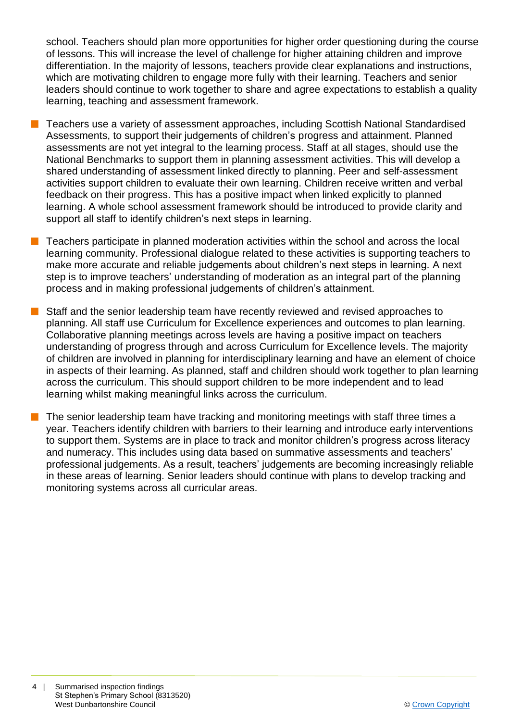school. Teachers should plan more opportunities for higher order questioning during the course of lessons. This will increase the level of challenge for higher attaining children and improve differentiation. In the majority of lessons, teachers provide clear explanations and instructions, which are motivating children to engage more fully with their learning. Teachers and senior leaders should continue to work together to share and agree expectations to establish a quality learning, teaching and assessment framework.

- Teachers use a variety of assessment approaches, including Scottish National Standardised Assessments, to support their judgements of children's progress and attainment. Planned assessments are not yet integral to the learning process. Staff at all stages, should use the National Benchmarks to support them in planning assessment activities. This will develop a shared understanding of assessment linked directly to planning. Peer and self-assessment activities support children to evaluate their own learning. Children receive written and verbal feedback on their progress. This has a positive impact when linked explicitly to planned learning. A whole school assessment framework should be introduced to provide clarity and support all staff to identify children's next steps in learning.
- $\blacksquare$  Teachers participate in planned moderation activities within the school and across the local learning community. Professional dialogue related to these activities is supporting teachers to make more accurate and reliable judgements about children's next steps in learning. A next step is to improve teachers' understanding of moderation as an integral part of the planning process and in making professional judgements of children's attainment.
- **n** Staff and the senior leadership team have recently reviewed and revised approaches to planning. All staff use Curriculum for Excellence experiences and outcomes to plan learning. Collaborative planning meetings across levels are having a positive impact on teachers understanding of progress through and across Curriculum for Excellence levels. The majority of children are involved in planning for interdisciplinary learning and have an element of choice in aspects of their learning. As planned, staff and children should work together to plan learning across the curriculum. This should support children to be more independent and to lead learning whilst making meaningful links across the curriculum.
	- The senior leadership team have tracking and monitoring meetings with staff three times a year. Teachers identify children with barriers to their learning and introduce early interventions to support them. Systems are in place to track and monitor children's progress across literacy and numeracy. This includes using data based on summative assessments and teachers' professional judgements. As a result, teachers' judgements are becoming increasingly reliable in these areas of learning. Senior leaders should continue with plans to develop tracking and monitoring systems across all curricular areas.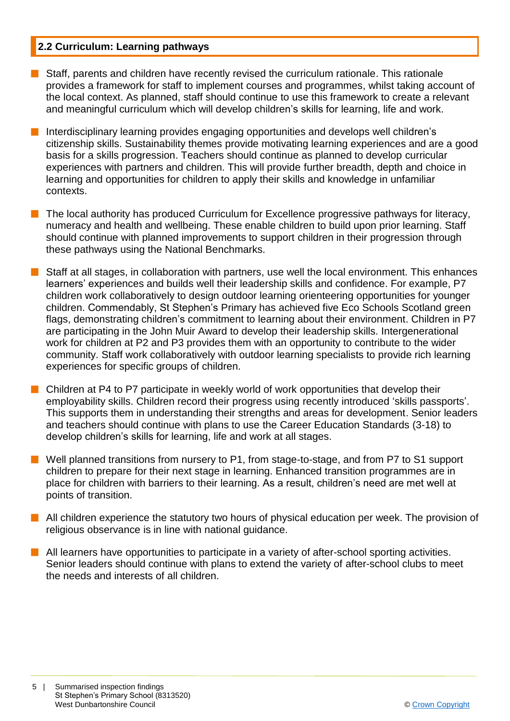# **2.2 Curriculum: Learning pathways**

- $\blacksquare$  Staff, parents and children have recently revised the curriculum rationale. This rationale provides a framework for staff to implement courses and programmes, whilst taking account of the local context. As planned, staff should continue to use this framework to create a relevant and meaningful curriculum which will develop children's skills for learning, life and work.
- Interdisciplinary learning provides engaging opportunities and develops well children's citizenship skills. Sustainability themes provide motivating learning experiences and are a good basis for a skills progression. Teachers should continue as planned to develop curricular experiences with partners and children. This will provide further breadth, depth and choice in learning and opportunities for children to apply their skills and knowledge in unfamiliar contexts.
- The local authority has produced Curriculum for Excellence progressive pathways for literacy, numeracy and health and wellbeing. These enable children to build upon prior learning. Staff should continue with planned improvements to support children in their progression through these pathways using the National Benchmarks.
- Staff at all stages, in collaboration with partners, use well the local environment. This enhances learners' experiences and builds well their leadership skills and confidence. For example, P7 children work collaboratively to design outdoor learning orienteering opportunities for younger children. Commendably, St Stephen's Primary has achieved five Eco Schools Scotland green flags, demonstrating children's commitment to learning about their environment. Children in P7 are participating in the John Muir Award to develop their leadership skills. Intergenerational work for children at P2 and P3 provides them with an opportunity to contribute to the wider community. Staff work collaboratively with outdoor learning specialists to provide rich learning experiences for specific groups of children.
- $\blacksquare$  Children at P4 to P7 participate in weekly world of work opportunities that develop their employability skills. Children record their progress using recently introduced 'skills passports'. This supports them in understanding their strengths and areas for development. Senior leaders and teachers should continue with plans to use the Career Education Standards (3-18) to develop children's skills for learning, life and work at all stages.
- Well planned transitions from nursery to P1, from stage-to-stage, and from P7 to S1 support children to prepare for their next stage in learning. Enhanced transition programmes are in place for children with barriers to their learning. As a result, children's need are met well at points of transition.
- $\blacksquare$  All children experience the statutory two hours of physical education per week. The provision of religious observance is in line with national guidance.
- **n** All learners have opportunities to participate in a variety of after-school sporting activities. Senior leaders should continue with plans to extend the variety of after-school clubs to meet the needs and interests of all children.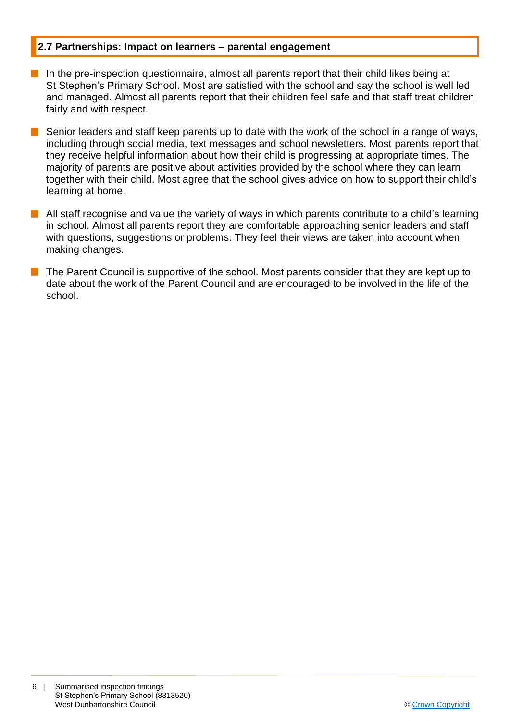### **2.7 Partnerships: Impact on learners – parental engagement**

- $\blacksquare$  In the pre-inspection questionnaire, almost all parents report that their child likes being at St Stephen's Primary School. Most are satisfied with the school and say the school is well led and managed. Almost all parents report that their children feel safe and that staff treat children fairly and with respect.
- Senior leaders and staff keep parents up to date with the work of the school in a range of ways, including through social media, text messages and school newsletters. Most parents report that they receive helpful information about how their child is progressing at appropriate times. The majority of parents are positive about activities provided by the school where they can learn together with their child. Most agree that the school gives advice on how to support their child's learning at home.
- All staff recognise and value the variety of ways in which parents contribute to a child's learning in school. Almost all parents report they are comfortable approaching senior leaders and staff with questions, suggestions or problems. They feel their views are taken into account when making changes.
- The Parent Council is supportive of the school. Most parents consider that they are kept up to date about the work of the Parent Council and are encouraged to be involved in the life of the school.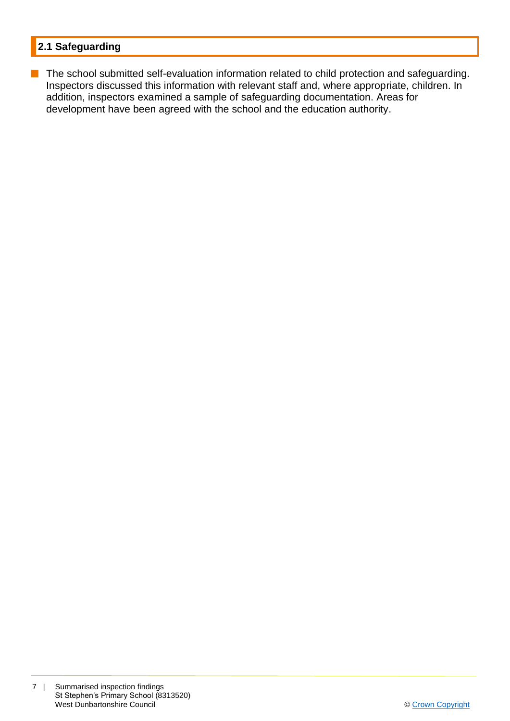# **2.1 Safeguarding**

**n** The school submitted self-evaluation information related to child protection and safeguarding. Inspectors discussed this information with relevant staff and, where appropriate, children. In addition, inspectors examined a sample of safeguarding documentation. Areas for development have been agreed with the school and the education authority.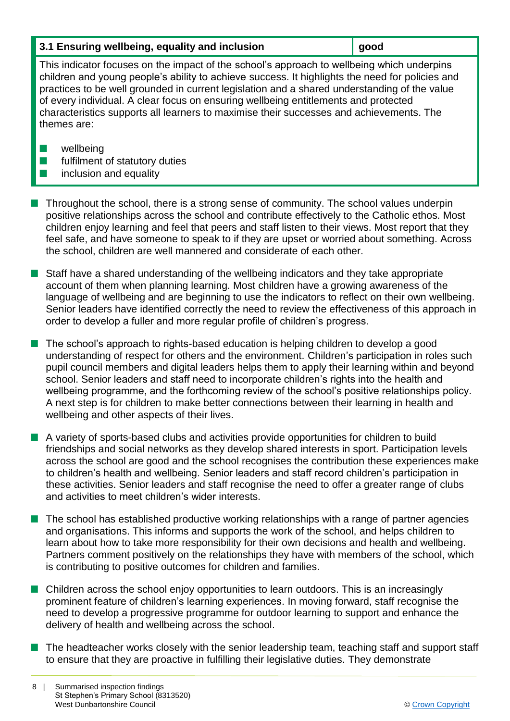| 3.1 Ensuring wellbeing, equality and inclusion | ∥ good |
|------------------------------------------------|--------|
|------------------------------------------------|--------|

This indicator focuses on the impact of the school's approach to wellbeing which underpins children and young people's ability to achieve success. It highlights the need for policies and practices to be well grounded in current legislation and a shared understanding of the value of every individual. A clear focus on ensuring wellbeing entitlements and protected characteristics supports all learners to maximise their successes and achievements. The themes are:

- $\blacksquare$  wellbeing
- $\blacksquare$  fulfilment of statutory duties
- $\blacksquare$  inclusion and equality
- n Throughout the school, there is a strong sense of community. The school values underpin positive relationships across the school and contribute effectively to the Catholic ethos. Most children enjoy learning and feel that peers and staff listen to their views. Most report that they feel safe, and have someone to speak to if they are upset or worried about something. Across the school, children are well mannered and considerate of each other.
- **n** Staff have a shared understanding of the wellbeing indicators and they take appropriate account of them when planning learning. Most children have a growing awareness of the language of wellbeing and are beginning to use the indicators to reflect on their own wellbeing. Senior leaders have identified correctly the need to review the effectiveness of this approach in order to develop a fuller and more regular profile of children's progress.
- The school's approach to rights-based education is helping children to develop a good understanding of respect for others and the environment. Children's participation in roles such pupil council members and digital leaders helps them to apply their learning within and beyond school. Senior leaders and staff need to incorporate children's rights into the health and wellbeing programme, and the forthcoming review of the school's positive relationships policy. A next step is for children to make better connections between their learning in health and wellbeing and other aspects of their lives.
- A variety of sports-based clubs and activities provide opportunities for children to build friendships and social networks as they develop shared interests in sport. Participation levels across the school are good and the school recognises the contribution these experiences make to children's health and wellbeing. Senior leaders and staff record children's participation in these activities. Senior leaders and staff recognise the need to offer a greater range of clubs and activities to meet children's wider interests.
- The school has established productive working relationships with a range of partner agencies and organisations. This informs and supports the work of the school, and helps children to learn about how to take more responsibility for their own decisions and health and wellbeing. Partners comment positively on the relationships they have with members of the school, which is contributing to positive outcomes for children and families.
- **n** Children across the school enjoy opportunities to learn outdoors. This is an increasingly prominent feature of children's learning experiences. In moving forward, staff recognise the need to develop a progressive programme for outdoor learning to support and enhance the delivery of health and wellbeing across the school.
- $\blacksquare$  The headteacher works closely with the senior leadership team, teaching staff and support staff to ensure that they are proactive in fulfilling their legislative duties. They demonstrate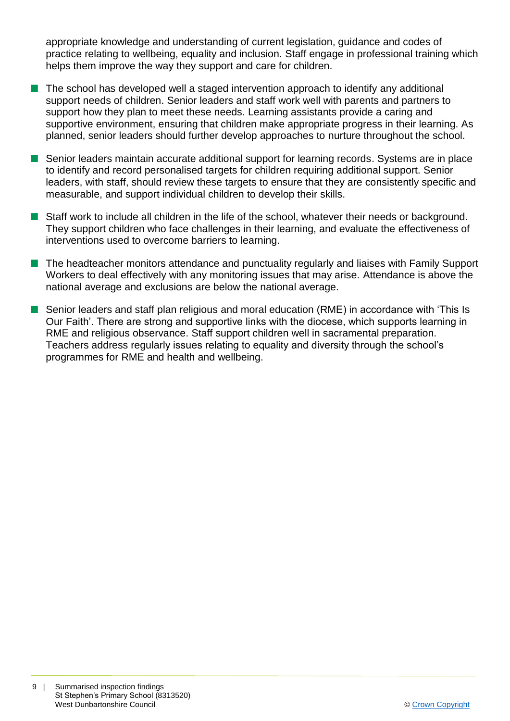appropriate knowledge and understanding of current legislation, guidance and codes of practice relating to wellbeing, equality and inclusion. Staff engage in professional training which helps them improve the way they support and care for children.

- $\blacksquare$  The school has developed well a staged intervention approach to identify any additional support needs of children. Senior leaders and staff work well with parents and partners to support how they plan to meet these needs. Learning assistants provide a caring and supportive environment, ensuring that children make appropriate progress in their learning. As planned, senior leaders should further develop approaches to nurture throughout the school.
- Senior leaders maintain accurate additional support for learning records. Systems are in place to identify and record personalised targets for children requiring additional support. Senior leaders, with staff, should review these targets to ensure that they are consistently specific and measurable, and support individual children to develop their skills.
- Staff work to include all children in the life of the school, whatever their needs or background. They support children who face challenges in their learning, and evaluate the effectiveness of interventions used to overcome barriers to learning.
- $\blacksquare$  The headteacher monitors attendance and punctuality regularly and liaises with Family Support Workers to deal effectively with any monitoring issues that may arise. Attendance is above the national average and exclusions are below the national average.
- **n** Senior leaders and staff plan religious and moral education (RME) in accordance with 'This Is Our Faith'. There are strong and supportive links with the diocese, which supports learning in RME and religious observance. Staff support children well in sacramental preparation. Teachers address regularly issues relating to equality and diversity through the school's programmes for RME and health and wellbeing.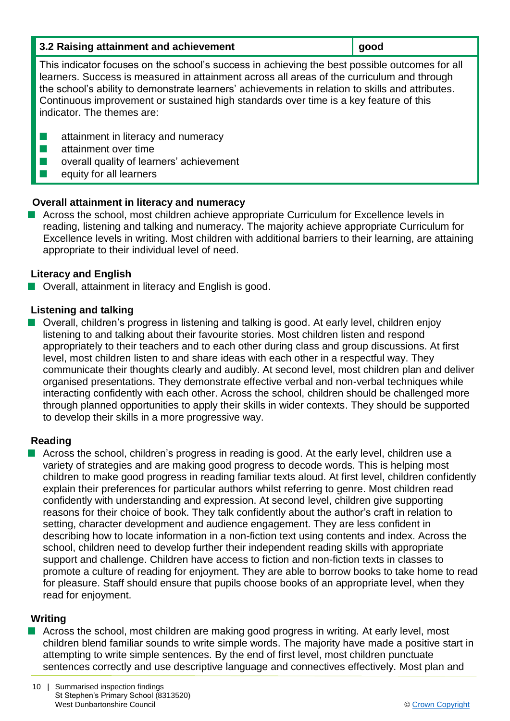| 3.2 Raising attainment and achievement | $\vert$ good |
|----------------------------------------|--------------|
|----------------------------------------|--------------|

This indicator focuses on the school's success in achieving the best possible outcomes for all learners. Success is measured in attainment across all areas of the curriculum and through the school's ability to demonstrate learners' achievements in relation to skills and attributes. Continuous improvement or sustained high standards over time is a key feature of this indicator. The themes are:

- $\blacksquare$  attainment in literacy and numeracy
- $\blacksquare$  attainment over time
- $\blacksquare$  overall quality of learners' achievement
- $\blacksquare$  equity for all learners

# **Overall attainment in literacy and numeracy**

■ Across the school, most children achieve appropriate Curriculum for Excellence levels in reading, listening and talking and numeracy. The majority achieve appropriate Curriculum for Excellence levels in writing. Most children with additional barriers to their learning, are attaining appropriate to their individual level of need.

# **Literacy and English**

 $\blacksquare$  Overall, attainment in literacy and English is good.

# **Listening and talking**

■ Overall, children's progress in listening and talking is good. At early level, children enjoy listening to and talking about their favourite stories. Most children listen and respond appropriately to their teachers and to each other during class and group discussions. At first level, most children listen to and share ideas with each other in a respectful way. They communicate their thoughts clearly and audibly. At second level, most children plan and deliver organised presentations. They demonstrate effective verbal and non-verbal techniques while interacting confidently with each other. Across the school, children should be challenged more through planned opportunities to apply their skills in wider contexts. They should be supported to develop their skills in a more progressive way.

# **Reading**

 $\blacksquare$  Across the school, children's progress in reading is good. At the early level, children use a variety of strategies and are making good progress to decode words. This is helping most children to make good progress in reading familiar texts aloud. At first level, children confidently explain their preferences for particular authors whilst referring to genre. Most children read confidently with understanding and expression. At second level, children give supporting reasons for their choice of book. They talk confidently about the author's craft in relation to setting, character development and audience engagement. They are less confident in describing how to locate information in a non-fiction text using contents and index. Across the school, children need to develop further their independent reading skills with appropriate support and challenge. Children have access to fiction and non-fiction texts in classes to promote a culture of reading for enjoyment. They are able to borrow books to take home to read for pleasure. Staff should ensure that pupils choose books of an appropriate level, when they read for enjoyment.

# **Writing**

 $\blacksquare$  Across the school, most children are making good progress in writing. At early level, most children blend familiar sounds to write simple words. The majority have made a positive start in attempting to write simple sentences. By the end of first level, most children punctuate sentences correctly and use descriptive language and connectives effectively. Most plan and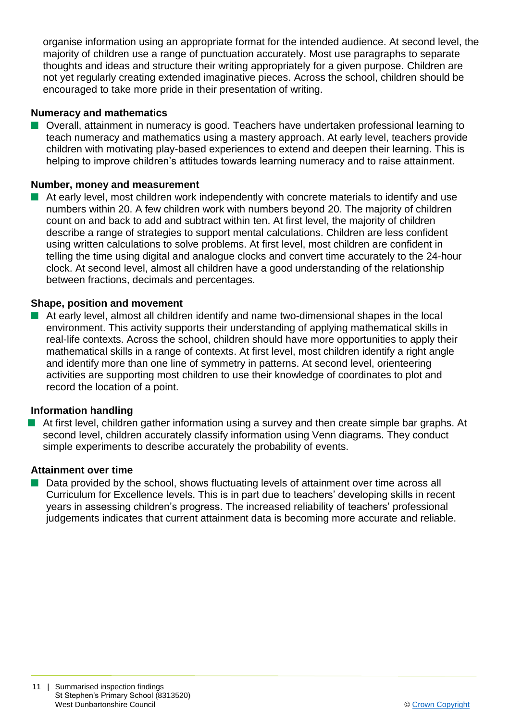organise information using an appropriate format for the intended audience. At second level, the majority of children use a range of punctuation accurately. Most use paragraphs to separate thoughts and ideas and structure their writing appropriately for a given purpose. Children are not yet regularly creating extended imaginative pieces. Across the school, children should be encouraged to take more pride in their presentation of writing.

## **Numeracy and mathematics**

■ Overall, attainment in numeracy is good. Teachers have undertaken professional learning to teach numeracy and mathematics using a mastery approach. At early level, teachers provide children with motivating play-based experiences to extend and deepen their learning. This is helping to improve children's attitudes towards learning numeracy and to raise attainment.

#### **Number, money and measurement**

 $\blacksquare$  At early level, most children work independently with concrete materials to identify and use numbers within 20. A few children work with numbers beyond 20. The majority of children count on and back to add and subtract within ten. At first level, the majority of children describe a range of strategies to support mental calculations. Children are less confident using written calculations to solve problems. At first level, most children are confident in telling the time using digital and analogue clocks and convert time accurately to the 24-hour clock. At second level, almost all children have a good understanding of the relationship between fractions, decimals and percentages.

#### **Shape, position and movement**

 $\blacksquare$  At early level, almost all children identify and name two-dimensional shapes in the local environment. This activity supports their understanding of applying mathematical skills in real-life contexts. Across the school, children should have more opportunities to apply their mathematical skills in a range of contexts. At first level, most children identify a right angle and identify more than one line of symmetry in patterns. At second level, orienteering activities are supporting most children to use their knowledge of coordinates to plot and record the location of a point.

#### **Information handling**

At first level, children gather information using a survey and then create simple bar graphs. At second level, children accurately classify information using Venn diagrams. They conduct simple experiments to describe accurately the probability of events.

#### **Attainment over time**

Data provided by the school, shows fluctuating levels of attainment over time across all Curriculum for Excellence levels. This is in part due to teachers' developing skills in recent years in assessing children's progress. The increased reliability of teachers' professional judgements indicates that current attainment data is becoming more accurate and reliable.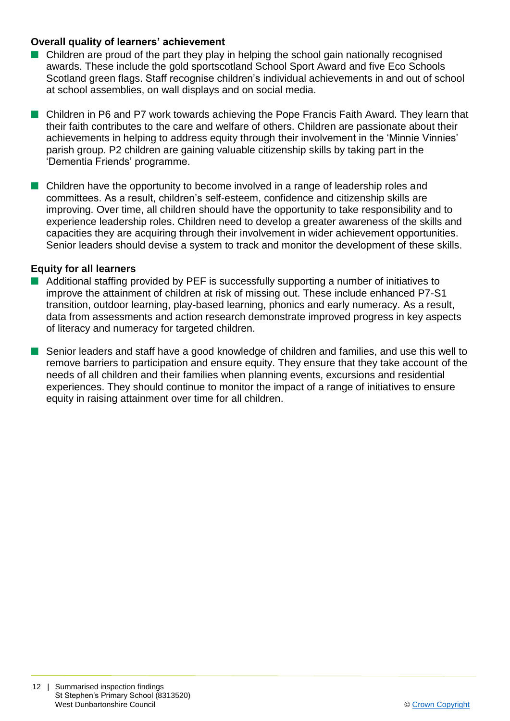#### **Overall quality of learners' achievement**

- $\blacksquare$  Children are proud of the part they play in helping the school gain nationally recognised awards. These include the gold sportscotland School Sport Award and five Eco Schools Scotland green flags. Staff recognise children's individual achievements in and out of school at school assemblies, on wall displays and on social media.
- **n** Children in P6 and P7 work towards achieving the Pope Francis Faith Award. They learn that their faith contributes to the care and welfare of others. Children are passionate about their achievements in helping to address equity through their involvement in the 'Minnie Vinnies' parish group. P2 children are gaining valuable citizenship skills by taking part in the 'Dementia Friends' programme.
- Children have the opportunity to become involved in a range of leadership roles and committees. As a result, children's self-esteem, confidence and citizenship skills are improving. Over time, all children should have the opportunity to take responsibility and to experience leadership roles. Children need to develop a greater awareness of the skills and capacities they are acquiring through their involvement in wider achievement opportunities. Senior leaders should devise a system to track and monitor the development of these skills.

#### **Equity for all learners**

- $\blacksquare$  Additional staffing provided by PEF is successfully supporting a number of initiatives to improve the attainment of children at risk of missing out. These include enhanced P7-S1 transition, outdoor learning, play-based learning, phonics and early numeracy. As a result, data from assessments and action research demonstrate improved progress in key aspects of literacy and numeracy for targeted children.
- Senior leaders and staff have a good knowledge of children and families, and use this well to remove barriers to participation and ensure equity. They ensure that they take account of the needs of all children and their families when planning events, excursions and residential experiences. They should continue to monitor the impact of a range of initiatives to ensure equity in raising attainment over time for all children.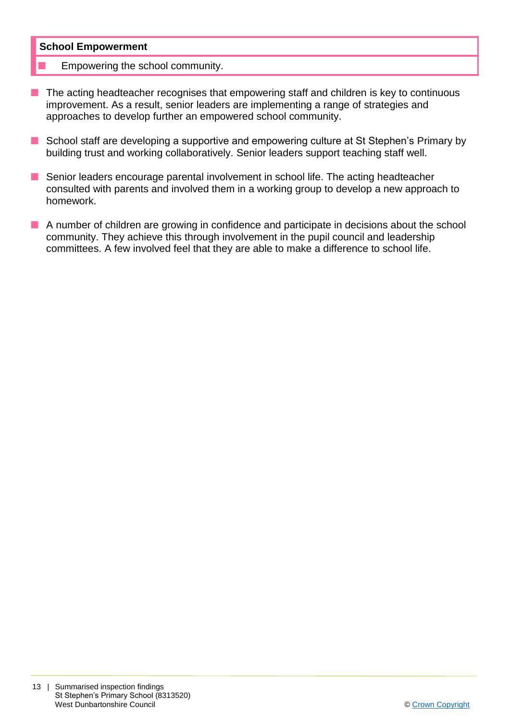#### **School Empowerment**

- Empowering the school community.
- $\blacksquare$  The acting headteacher recognises that empowering staff and children is key to continuous improvement. As a result, senior leaders are implementing a range of strategies and approaches to develop further an empowered school community.
- School staff are developing a supportive and empowering culture at St Stephen's Primary by building trust and working collaboratively. Senior leaders support teaching staff well.
- Senior leaders encourage parental involvement in school life. The acting headteacher consulted with parents and involved them in a working group to develop a new approach to homework.
- $\blacksquare$  A number of children are growing in confidence and participate in decisions about the school community. They achieve this through involvement in the pupil council and leadership committees. A few involved feel that they are able to make a difference to school life.